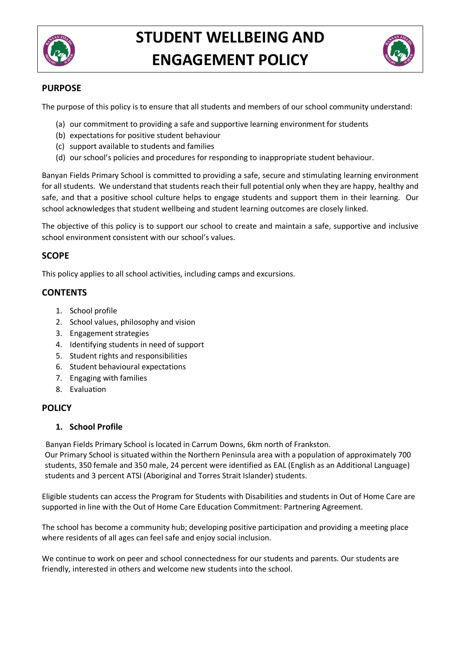



## **PURPOSE**

The purpose of this policy is to ensure that all students and members of our school community understand:

- (a) our commitment to providing a safe and supportive learning environment for students
- (b) expectations for positive student behaviour
- (c) support available to students and families
- (d) our school's policies and procedures for responding to inappropriate student behaviour.

Banyan Fields Primary School is committed to providing a safe, secure and stimulating learning environment for all students. We understand that students reach their full potential only when they are happy, healthy and safe, and that a positive school culture helps to engage students and support them in their learning. Our school acknowledges that student wellbeing and student learning outcomes are closely linked.

The objective of this policy is to support our school to create and maintain a safe, supportive and inclusive school environment consistent with our school's values.

## **SCOPE**

This policy applies to all school activities, including camps and excursions.

# **CONTENTS**

- 1. School profile
- 2. School values, philosophy and vision
- 3. Engagement strategies
- 4. Identifying students in need of support
- 5. Student rights and responsibilities
- 6. Student behavioural expectations
- 7. Engaging with families
- 8. Evaluation

#### **POLICY**

#### **1. School Profile**

Banyan Fields Primary School is located in Carrum Downs, 6km north of Frankston.

Our Primary School is situated within the Northern Peninsula area with a population of approximately 700 students, 350 female and 350 male, 24 percent were identified as EAL (English as an Additional Language) students and 3 percent ATSI (Aboriginal and Torres Strait Islander) students.

Eligible students can access the Program for Students with Disabilities and students in Out of Home Care are supported in line with the Out of Home Care Education Commitment: Partnering Agreement.

The school has become a community hub; developing positive participation and providing a meeting place where residents of all ages can feel safe and enjoy social inclusion.

We continue to work on peer and school connectedness for our students and parents. Our students are friendly, interested in others and welcome new students into the school.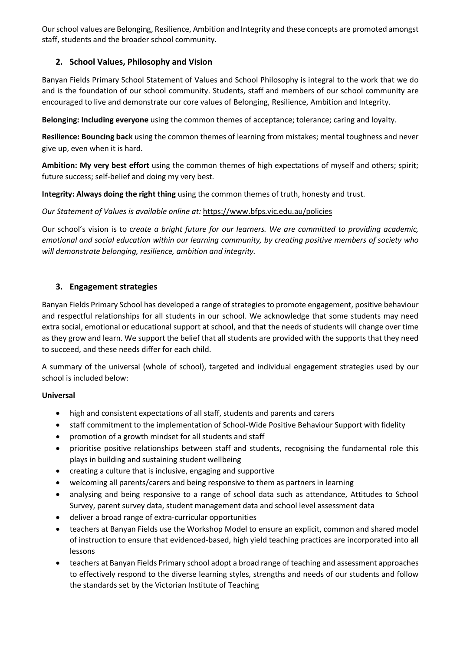Our school values are Belonging, Resilience, Ambition and Integrity and these concepts are promoted amongst staff, students and the broader school community.

# **2. School Values, Philosophy and Vision**

Banyan Fields Primary School Statement of Values and School Philosophy is integral to the work that we do and is the foundation of our school community. Students, staff and members of our school community are encouraged to live and demonstrate our core values of Belonging, Resilience, Ambition and Integrity.

**Belonging: Including everyone** using the common themes of acceptance; tolerance; caring and loyalty.

**Resilience: Bouncing back** using the common themes of learning from mistakes; mental toughness and never give up, even when it is hard.

**Ambition: My very best effort** using the common themes of high expectations of myself and others; spirit; future success; self-belief and doing my very best.

**Integrity: Always doing the right thing** using the common themes of truth, honesty and trust.

#### *Our Statement of Values is available online at:* https://www.bfps.vic.edu.au/policies

Our school's vision is to c*reate a bright future for our learners. We are committed to providing academic, emotional and social education within our learning community, by creating positive members of society who will demonstrate belonging, resilience, ambition and integrity.*

#### **3. Engagement strategies**

Banyan Fields Primary School has developed a range of strategies to promote engagement, positive behaviour and respectful relationships for all students in our school. We acknowledge that some students may need extra social, emotional or educational support at school, and that the needs of students will change over time as they grow and learn. We support the belief that all students are provided with the supports that they need to succeed, and these needs differ for each child.

A summary of the universal (whole of school), targeted and individual engagement strategies used by our school is included below:

#### **Universal**

- high and consistent expectations of all staff, students and parents and carers
- staff commitment to the implementation of School-Wide Positive Behaviour Support with fidelity
- promotion of a growth mindset for all students and staff
- prioritise positive relationships between staff and students, recognising the fundamental role this plays in building and sustaining student wellbeing
- creating a culture that is inclusive, engaging and supportive
- welcoming all parents/carers and being responsive to them as partners in learning
- analysing and being responsive to a range of school data such as attendance, Attitudes to School Survey, parent survey data, student management data and school level assessment data
- deliver a broad range of extra-curricular opportunities
- teachers at Banyan Fields use the Workshop Model to ensure an explicit, common and shared model of instruction to ensure that evidenced-based, high yield teaching practices are incorporated into all lessons
- teachers at Banyan Fields Primary school adopt a broad range of teaching and assessment approaches to effectively respond to the diverse learning styles, strengths and needs of our students and follow the standards set by the Victorian Institute of Teaching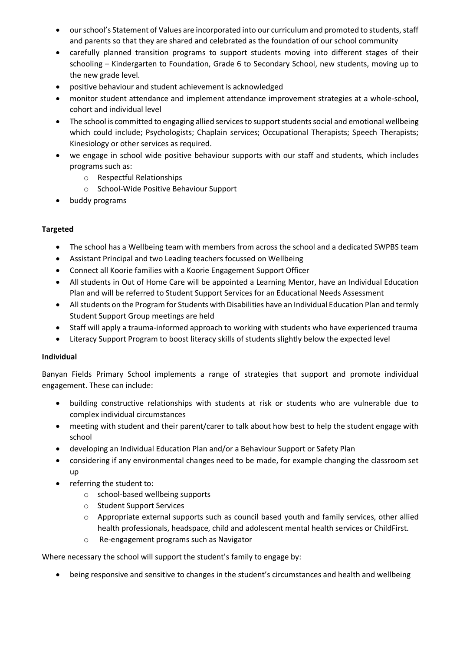- our school's Statement of Values are incorporated into our curriculum and promoted to students, staff and parents so that they are shared and celebrated as the foundation of our school community
- carefully planned transition programs to support students moving into different stages of their schooling – Kindergarten to Foundation, Grade 6 to Secondary School, new students, moving up to the new grade level.
- positive behaviour and student achievement is acknowledged
- monitor student attendance and implement attendance improvement strategies at a whole-school, cohort and individual level
- The school is committed to engaging allied services to support students social and emotional wellbeing which could include; Psychologists; Chaplain services; Occupational Therapists; Speech Therapists; Kinesiology or other services as required.
- we engage in school wide positive behaviour supports with our staff and students, which includes programs such as:
	- o Respectful Relationships
	- o School-Wide Positive Behaviour Support
- buddy programs

#### **Targeted**

- The school has a Wellbeing team with members from across the school and a dedicated SWPBS team
- Assistant Principal and two Leading teachers focussed on Wellbeing
- Connect all Koorie families with a Koorie Engagement Support Officer
- All students in Out of Home Care will be appointed a Learning Mentor, have an Individual Education Plan and will be referred to Student Support Services for an Educational Needs Assessment
- All students on the Program for Students with Disabilities have an Individual Education Plan and termly Student Support Group meetings are held
- Staff will apply a trauma-informed approach to working with students who have experienced trauma
- Literacy Support Program to boost literacy skills of students slightly below the expected level

#### **Individual**

Banyan Fields Primary School implements a range of strategies that support and promote individual engagement. These can include:

- building constructive relationships with students at risk or students who are vulnerable due to complex individual circumstances
- meeting with student and their parent/carer to talk about how best to help the student engage with school
- developing an Individual Education Plan and/or a Behaviour Support or Safety Plan
- considering if any environmental changes need to be made, for example changing the classroom set up
- referring the student to:
	- o school-based wellbeing supports
	- o Student Support Services
	- o Appropriate external supports such as council based youth and family services, other allied health professionals, headspace, child and adolescent mental health services or ChildFirst.
	- o Re-engagement programs such as Navigator

Where necessary the school will support the student's family to engage by:

• being responsive and sensitive to changes in the student's circumstances and health and wellbeing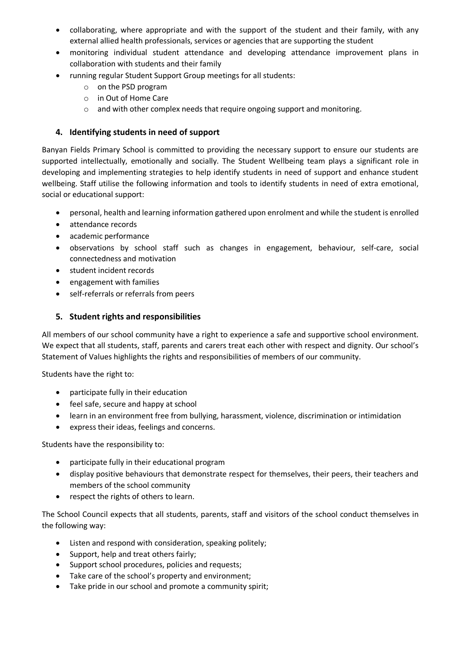- collaborating, where appropriate and with the support of the student and their family, with any external allied health professionals, services or agencies that are supporting the student
- monitoring individual student attendance and developing attendance improvement plans in collaboration with students and their family
- running regular Student Support Group meetings for all students:
	- o on the PSD program
	- o in Out of Home Care
	- o and with other complex needs that require ongoing support and monitoring.

### **4. Identifying students in need of support**

Banyan Fields Primary School is committed to providing the necessary support to ensure our students are supported intellectually, emotionally and socially. The Student Wellbeing team plays a significant role in developing and implementing strategies to help identify students in need of support and enhance student wellbeing. Staff utilise the following information and tools to identify students in need of extra emotional, social or educational support:

- personal, health and learning information gathered upon enrolment and while the student is enrolled
- attendance records
- academic performance
- observations by school staff such as changes in engagement, behaviour, self-care, social connectedness and motivation
- student incident records
- engagement with families
- self-referrals or referrals from peers

## **5. Student rights and responsibilities**

All members of our school community have a right to experience a safe and supportive school environment. We expect that all students, staff, parents and carers treat each other with respect and dignity. Our school's Statement of Values highlights the rights and responsibilities of members of our community.

Students have the right to:

- participate fully in their education
- feel safe, secure and happy at school
- learn in an environment free from bullying, harassment, violence, discrimination or intimidation
- express their ideas, feelings and concerns.

Students have the responsibility to:

- participate fully in their educational program
- display positive behaviours that demonstrate respect for themselves, their peers, their teachers and members of the school community
- respect the rights of others to learn.

The School Council expects that all students, parents, staff and visitors of the school conduct themselves in the following way:

- Listen and respond with consideration, speaking politely;
- Support, help and treat others fairly;
- Support school procedures, policies and requests;
- Take care of the school's property and environment;
- Take pride in our school and promote a community spirit;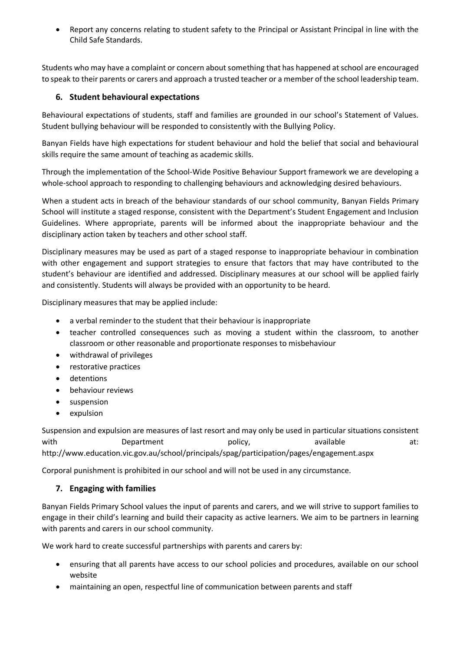• Report any concerns relating to student safety to the Principal or Assistant Principal in line with the Child Safe Standards.

Students who may have a complaint or concern about something that has happened at school are encouraged to speak to their parents or carers and approach a trusted teacher or a member of the school leadership team.

## **6. Student behavioural expectations**

Behavioural expectations of students, staff and families are grounded in our school's Statement of Values. Student bullying behaviour will be responded to consistently with the Bullying Policy.

Banyan Fields have high expectations for student behaviour and hold the belief that social and behavioural skills require the same amount of teaching as academic skills.

Through the implementation of the School-Wide Positive Behaviour Support framework we are developing a whole-school approach to responding to challenging behaviours and acknowledging desired behaviours.

When a student acts in breach of the behaviour standards of our school community, Banyan Fields Primary School will institute a staged response, consistent with the Department's Student Engagement and Inclusion Guidelines. Where appropriate, parents will be informed about the inappropriate behaviour and the disciplinary action taken by teachers and other school staff.

Disciplinary measures may be used as part of a staged response to inappropriate behaviour in combination with other engagement and support strategies to ensure that factors that may have contributed to the student's behaviour are identified and addressed. Disciplinary measures at our school will be applied fairly and consistently. Students will always be provided with an opportunity to be heard.

Disciplinary measures that may be applied include:

- a verbal reminder to the student that their behaviour is inappropriate
- teacher controlled consequences such as moving a student within the classroom, to another classroom or other reasonable and proportionate responses to misbehaviour
- withdrawal of privileges
- restorative practices
- detentions
- behaviour reviews
- suspension
- expulsion

Suspension and expulsion are measures of last resort and may only be used in particular situations consistent with Department policy, available at: http://www.education.vic.gov.au/school/principals/spag/participation/pages/engagement.aspx

Corporal punishment is prohibited in our school and will not be used in any circumstance.

#### **7. Engaging with families**

Banyan Fields Primary School values the input of parents and carers, and we will strive to support families to engage in their child's learning and build their capacity as active learners. We aim to be partners in learning with parents and carers in our school community.

We work hard to create successful partnerships with parents and carers by:

- ensuring that all parents have access to our school policies and procedures, available on our school website
- maintaining an open, respectful line of communication between parents and staff